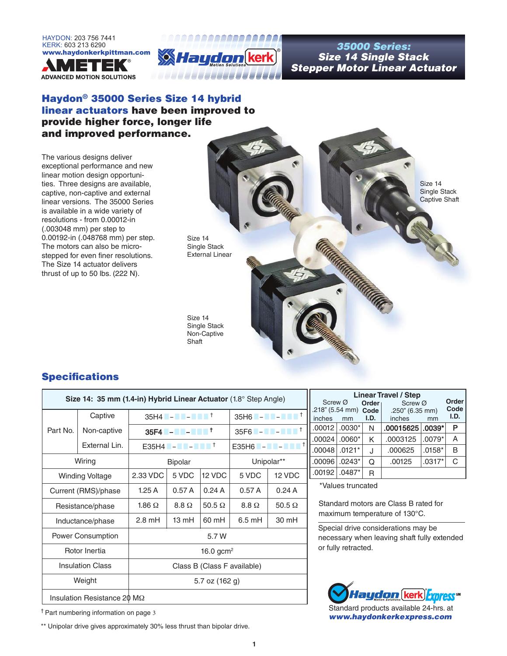



## *Size 14 Single Stack Stepper Motor Linear Actuator*

### Haydon® 35000 Series Size 14 hybrid linear actuators have been improved to provide higher force, longer life and improved performance.

The various designs deliver exceptional performance and new linear motion design opportunities. Three designs are available, captive, non-captive and external linear versions. The 35000 Series is available in a wide variety of resolutions - from 0.00012-in (.003048 mm) per step to 0.00192-in (.048768 mm) per step. The motors can also be microstepped for even finer resolutions. The Size 14 actuator delivers thrust of up to 50 lbs. (222 N).



### Specifications

|                                     | Size 14: 35 mm (1.4-in) Hybrid Linear Actuator (1.8° Step Angle) |                             |                                                                                                                                    |               |                  |                                                                                                                     |
|-------------------------------------|------------------------------------------------------------------|-----------------------------|------------------------------------------------------------------------------------------------------------------------------------|---------------|------------------|---------------------------------------------------------------------------------------------------------------------|
|                                     | Captive                                                          |                             | $35H4$ $\blacksquare$ – $\blacksquare$ – $\blacksquare$ $\blacksquare$ $\blacksquare$ $\blacksquare$ $\blacksquare$ $\blacksquare$ |               |                  | $35H6$ - $\blacksquare$ - $\blacksquare$ $\blacksquare$ $\blacksquare$ $\blacksquare$ $\blacksquare$ $\blacksquare$ |
| Part No.                            | Non-captive                                                      |                             |                                                                                                                                    |               |                  | $35F6$ - - - $F^{\dagger}$                                                                                          |
|                                     | External Lin.                                                    |                             | $E35H4$ - - $I^{\dagger}$                                                                                                          |               |                  |                                                                                                                     |
|                                     | Wiring                                                           |                             | <b>Bipolar</b>                                                                                                                     |               | Unipolar**       |                                                                                                                     |
|                                     | <b>Winding Voltage</b>                                           | 2.33 VDC                    | 5 VDC                                                                                                                              | 12 VDC        | 5 VDC            | 12 VDC                                                                                                              |
| Current (RMS)/phase                 |                                                                  | 1.25A                       | 0.57A                                                                                                                              | 0.24A         | 0.57A            | 0.24A                                                                                                               |
| Resistance/phase                    |                                                                  | 1.86 $\Omega$               | $8.8\Omega$                                                                                                                        | 50.5 $\Omega$ | $8.8\Omega$      | $50.5 \Omega$                                                                                                       |
| Inductance/phase                    |                                                                  | $2.8 \text{ mH}$            | 13 mH                                                                                                                              | 60 mH         | $6.5 \text{ mH}$ | 30 mH                                                                                                               |
| <b>Power Consumption</b>            |                                                                  | 5.7 W                       |                                                                                                                                    |               |                  |                                                                                                                     |
| Rotor Inertia                       |                                                                  | 16.0 gcm <sup>2</sup>       |                                                                                                                                    |               |                  |                                                                                                                     |
| <b>Insulation Class</b>             |                                                                  | Class B (Class F available) |                                                                                                                                    |               |                  |                                                                                                                     |
| Weight                              |                                                                  | 5.7 oz $(162 g)$            |                                                                                                                                    |               |                  |                                                                                                                     |
| Insulation Resistance 20 M $\Omega$ |                                                                  |                             |                                                                                                                                    |               |                  |                                                                                                                     |

| Screw Ø<br>inches | .218" (5.54 mm) Code<br>mm | Order <sub>1</sub><br>I.D. | <b>Linear Travel / Step</b><br>Screw Ø<br>.250" (6.35 mm)<br>inches | mm       | <b>Order</b><br>Code<br>I.D. |
|-------------------|----------------------------|----------------------------|---------------------------------------------------------------------|----------|------------------------------|
|                   | .00012 .0030*              | N                          | .00015625 .0039*                                                    |          | P                            |
| .00024            | $.0060*$                   | K                          | .0003125                                                            | $.0079*$ | Α                            |
| .00048            | $.0121*$                   | J                          | .000625                                                             | $.0158*$ | B                            |
| .00096            | $.0243*$                   | Q                          | .00125                                                              | $.0317*$ | C                            |
| .00192            | $.0487*$                   | R                          |                                                                     |          |                              |

\*Values truncated

Standard motors are Class B rated for maximum temperature of 130°C.

Special drive considerations may be necessary when leaving shaft fully extended or fully retracted.



Standard products available 24-hrs. at *www.haydonkerkexpress.com*

† Part numbering information on page 3

\*\* Unipolar drive gives approximately 30% less thrust than bipolar drive.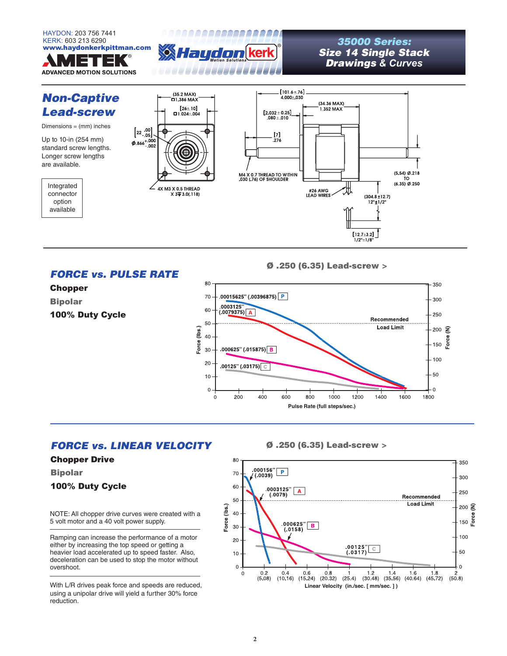



# *Size 14 Single Stack Drawings & Curves*



Bipolar

100% Duty Cycle

NOTE: All chopper drive curves were created with a 5 volt motor and a 40 volt power supply.

Ramping can increase the performance of a motor either by increasing the top speed or getting a heavier load accelerated up to speed faster. Also, deceleration can be used to stop the motor without overshoot.

With L/R drives peak force and speeds are reduced, using a unipolar drive will yield a further 30% force reduction.

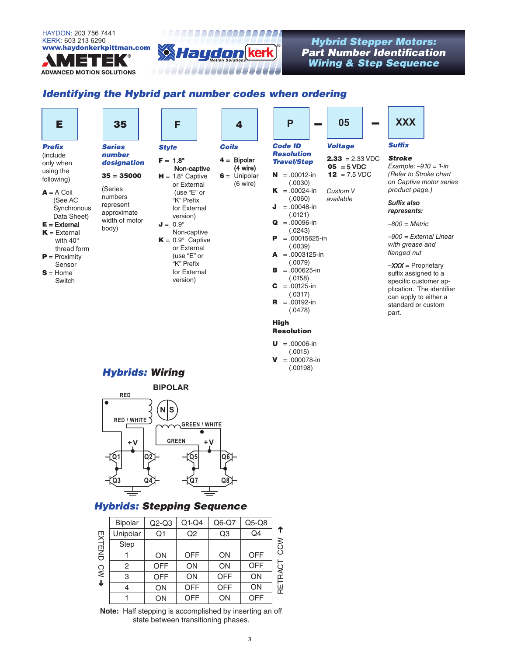**ADVANCED MOTION SOLUTIONS** 



## *Part Number Identification Wiring & Step Sequence*

### *Identifying the Hybrid part number codes when ordering*

| Е                                     | 35                       | F                                        | 4                                    | P                                                 | 05                                        | <b>XXX</b>                                                                        |
|---------------------------------------|--------------------------|------------------------------------------|--------------------------------------|---------------------------------------------------|-------------------------------------------|-----------------------------------------------------------------------------------|
| <b>Prefix</b><br>(include             | <b>Series</b><br>number  | <b>Style</b>                             | <b>Coils</b>                         | <b>Code ID</b><br><b>Resolution</b>               | <b>Voltage</b>                            | <b>Suffix</b>                                                                     |
| only when                             | designation              | $F = 1.8^{\circ}$<br>Non-captive         | $4 =$ Bipolar<br>$(4 \text{ wire})$  | <b>Travel/Step</b>                                | $2.33 = 2.33 \text{ VDC}$<br>$05 = 5$ VDC | <b>Stroke</b><br>Example: $-910 = 1$ -in                                          |
| using the<br>following)               | $35 = 35000$             | $H = 1.8^{\circ}$ Captive<br>or External | $6 =$ Unipolar<br>$(6 \text{ wire})$ | $N = .00012-in$<br>(.0030)                        | $12 = 7.5 \text{ VDC}$                    | (Refer to Stroke chart<br>on Captive motor series                                 |
| $A = A$ Coil                          | (Series<br>numbers       | (use "E" or                              |                                      | $K = .00024-in$                                   | Custom V                                  | product page.)                                                                    |
| (See AC<br>Synchronous<br>Data Sheet) | represent<br>approximate | "K" Prefix<br>for External<br>version)   |                                      | (.0060)<br>$=.00048$ -in<br>J<br>(.0121)          | available                                 | Suffix also<br>represents:                                                        |
| $E =$ External<br>$K =$ External      | width of motor<br>body)  | $J = 0.9^\circ$<br>Non-captive           |                                      | $Q = .00096-in$<br>(.0243)                        |                                           | $-800$ = Metric                                                                   |
| with $40^\circ$<br>thread form        |                          | $K = 0.9^{\circ}$ Captive<br>or External |                                      | $= .00015625$ -in<br>P<br>(.0039)                 |                                           | -900 = External Linear<br>with grease and                                         |
| $P = Proximity$<br>Sensor             |                          | (use "E" or<br>"K" Prefix                |                                      | $\mathbf{A} = 0.0003125$ -in<br>(.0079)           |                                           | flanged nut<br>$-XXX =$ Proprietary                                               |
| $S =$ Home<br>Switch                  |                          | for External<br>version)                 |                                      | $B = 0.000625 - in$<br>(.0158)<br>$C = .00125-in$ |                                           | suffix assigned to a<br>specific customer ap-                                     |
|                                       |                          |                                          |                                      | (.0317)<br>$R = .00192-in$<br>(.0478)             |                                           | plication. The identifier<br>can apply to either a<br>standard or custom<br>part. |
|                                       |                          |                                          |                                      | <b>High</b>                                       |                                           |                                                                                   |
|                                       |                          |                                          |                                      | <b>Resolution</b>                                 |                                           |                                                                                   |
|                                       |                          |                                          |                                      | $= .00006$ -in<br>U<br>(.0015)                    |                                           |                                                                                   |

 $V = 0.000078$ -in (.00198)

## *Hybrids: Wiring*



### *Hybrids: Stepping Sequence*

|                        | <b>Bipolar</b> | $Q2-Q3$    | $Q1-Q4$    | $Q6-Q7$        | $Q5-Q8$    |                  |
|------------------------|----------------|------------|------------|----------------|------------|------------------|
|                        | Unipolar       | Q1         | Q2         | Q <sub>3</sub> | Q4         | ↑                |
| EXTEND                 | Step           |            |            |                |            | $\sum_{i=1}^{n}$ |
|                        |                | ON         | <b>OFF</b> | ON             | <b>OFF</b> |                  |
| $\mathsf{S}\mathsf{W}$ | 2              | <b>OFF</b> | ON         | ON             | <b>OFF</b> | RACT             |
|                        | 3              | <b>OFF</b> | ON         | <b>OFF</b>     | ON         |                  |
| $\downarrow$           |                | ON         | <b>OFF</b> | <b>OFF</b>     | ON         | i<br>⊭           |
|                        |                | ON         | <b>OFF</b> | ON             | <b>OFF</b> |                  |

**Note:** Half stepping is accomplished by inserting an off state between transitioning phases.